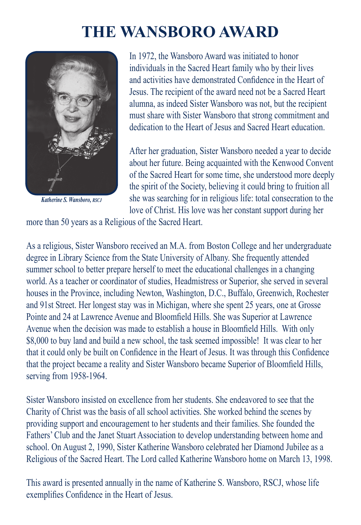## **The Wansboro Award**



*Katherine S. Wansboro, rscj*

In 1972, the Wansboro Award was initiated to honor individuals in the Sacred Heart family who by their lives and activities have demonstrated Confidence in the Heart of Jesus. The recipient of the award need not be a Sacred Heart alumna, as indeed Sister Wansboro was not, but the recipient must share with Sister Wansboro that strong commitment and dedication to the Heart of Jesus and Sacred Heart education.

After her graduation, Sister Wansboro needed a year to decide about her future. Being acquainted with the Kenwood Convent of the Sacred Heart for some time, she understood more deeply the spirit of the Society, believing it could bring to fruition all she was searching for in religious life: total consecration to the love of Christ. His love was her constant support during her

more than 50 years as a Religious of the Sacred Heart.

As a religious, Sister Wansboro received an M.A. from Boston College and her undergraduate degree in Library Science from the State University of Albany. She frequently attended summer school to better prepare herself to meet the educational challenges in a changing world. As a teacher or coordinator of studies, Headmistress or Superior, she served in several houses in the Province, including Newton, Washington, D.C., Buffalo, Greenwich, Rochester and 91st Street. Her longest stay was in Michigan, where she spent 25 years, one at Grosse Pointe and 24 at Lawrence Avenue and Bloomfield Hills. She was Superior at Lawrence Avenue when the decision was made to establish a house in Bloomfield Hills. With only \$8,000 to buy land and build a new school, the task seemed impossible! It was clear to her that it could only be built on Confidence in the Heart of Jesus. It was through this Confidence that the project became a reality and Sister Wansboro became Superior of Bloomfield Hills, serving from 1958-1964.

Sister Wansboro insisted on excellence from her students. She endeavored to see that the Charity of Christ was the basis of all school activities. She worked behind the scenes by providing support and encouragement to her students and their families. She founded the Fathers' Club and the Janet Stuart Association to develop understanding between home and school. On August 2, 1990, Sister Katherine Wansboro celebrated her Diamond Jubilee as a Religious of the Sacred Heart. The Lord called Katherine Wansboro home on March 13, 1998.

This award is presented annually in the name of Katherine S. Wansboro, RSCJ, whose life exemplifies Confidence in the Heart of Jesus.